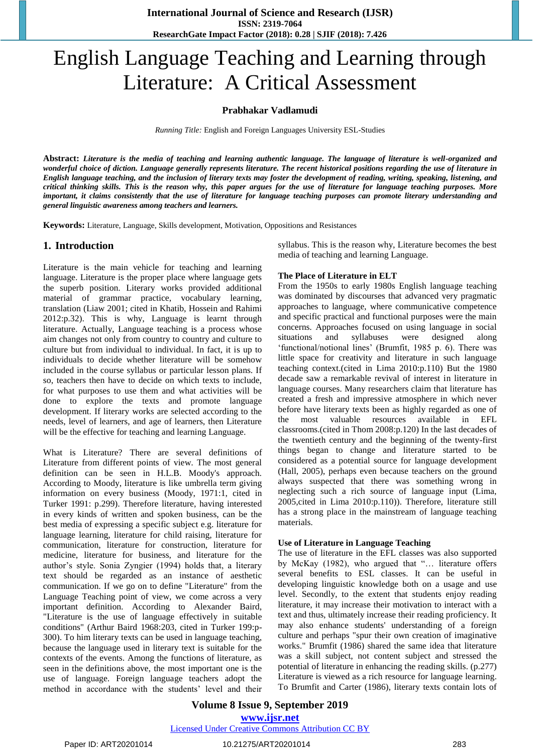# English Language Teaching and Learning through Literature: A Critical Assessment

# **Prabhakar Vadlamudi**

*Running Title:* English and Foreign Languages University ESL-Studies

**Abstract:** *Literature is the media of teaching and learning authentic language. The language of literature is well-organized and wonderful choice of diction. Language generally represents literature. The recent historical positions regarding the use of literature in English language teaching, and the inclusion of literary texts may foster the development of reading, writing, speaking, listening, and critical thinking skills. This is the reason why, this paper argues for the use of literature for language teaching purposes. More important, it claims consistently that the use of literature for language teaching purposes can promote literary understanding and general linguistic awareness among teachers and learners.* 

**Keywords:** Literature, Language, Skills development, Motivation, Oppositions and Resistances

# **1. Introduction**

Literature is the main vehicle for teaching and learning language. Literature is the proper place where language gets the superb position. Literary works provided additional material of grammar practice, vocabulary learning, translation (Liaw 2001; cited in Khatib, Hossein and Rahimi 2012:p.32). This is why, Language is learnt through literature. Actually, Language teaching is a process whose aim changes not only from country to country and culture to culture but from individual to individual. In fact, it is up to individuals to decide whether literature will be somehow included in the course syllabus or particular lesson plans. If so, teachers then have to decide on which texts to include, for what purposes to use them and what activities will be done to explore the texts and promote language development. If literary works are selected according to the needs, level of learners, and age of learners, then Literature will be the effective for teaching and learning Language.

What is Literature? There are several definitions of Literature from different points of view. The most general definition can be seen in H.L.B. Moody's approach. According to Moody, literature is like umbrella term giving information on every business (Moody, 1971:1, cited in Turker 1991: p.299). Therefore literature, having interested in every kinds of written and spoken business, can be the best media of expressing a specific subject e.g. literature for language learning, literature for child raising, literature for communication, literature for construction, literature for medicine, literature for business, and literature for the author"s style. Sonia Zyngier (1994) holds that, a literary text should be regarded as an instance of aesthetic communication. If we go on to define "Literature" from the Language Teaching point of view, we come across a very important definition. According to Alexander Baird, "Literature is the use of language effectively in suitable conditions" (Arthur Baird 1968:203, cited in Turker 199:p-300). To him literary texts can be used in language teaching, because the language used in literary text is suitable for the contexts of the events. Among the functions of literature, as seen in the definitions above, the most important one is the use of language. Foreign language teachers adopt the method in accordance with the students' level and their syllabus. This is the reason why, Literature becomes the best media of teaching and learning Language.

#### **The Place of Literature in ELT**

From the 1950s to early 1980s English language teaching was dominated by discourses that advanced very pragmatic approaches to language, where communicative competence and specific practical and functional purposes were the main concerns. Approaches focused on using language in social situations and syllabuses were designed along 'functional/notional lines' (Brumfit, 1985 p. 6). There was little space for creativity and literature in such language teaching context.(cited in Lima 2010:p.110) But the 1980 decade saw a remarkable revival of interest in literature in language courses. Many researchers claim that literature has created a fresh and impressive atmosphere in which never before have literary texts been as highly regarded as one of the most valuable resources available in EFL classrooms.(cited in Thom 2008:p.120) In the last decades of the twentieth century and the beginning of the twenty-first things began to change and literature started to be considered as a potential source for language development (Hall, 2005), perhaps even because teachers on the ground always suspected that there was something wrong in neglecting such a rich source of language input (Lima, 2005,cited in Lima 2010:p.110)). Therefore, literature still has a strong place in the mainstream of language teaching materials.

#### **Use of Literature in Language Teaching**

The use of literature in the EFL classes was also supported by McKay (1982), who argued that "… literature offers several benefits to ESL classes. It can be useful in developing linguistic knowledge both on a usage and use level. Secondly, to the extent that students enjoy reading literature, it may increase their motivation to interact with a text and thus, ultimately increase their reading proficiency. It may also enhance students' understanding of a foreign culture and perhaps "spur their own creation of imaginative works." Brumfit (1986) shared the same idea that literature was a skill subject, not content subject and stressed the potential of literature in enhancing the reading skills. (p.277) Literature is viewed as a rich resource for language learning. To Brumfit and Carter (1986), literary texts contain lots of

**Volume 8 Issue 9, September 2019 www.ijsr.net**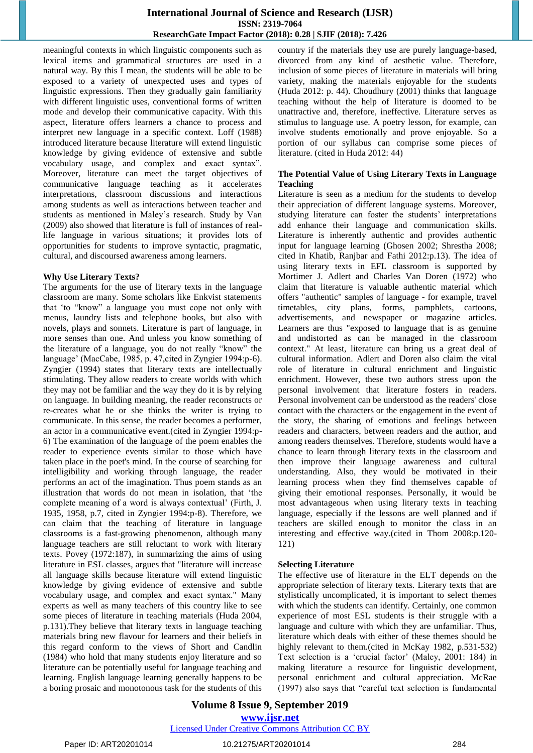# **International Journal of Science and Research (IJSR) ISSN: 2319-7064 ResearchGate Impact Factor (2018): 0.28 | SJIF (2018): 7.426**

meaningful contexts in which linguistic components such as lexical items and grammatical structures are used in a natural way. By this I mean, the students will be able to be exposed to a variety of unexpected uses and types of linguistic expressions. Then they gradually gain familiarity with different linguistic uses, conventional forms of written mode and develop their communicative capacity. With this aspect, literature offers learners a chance to process and interpret new language in a specific context. Loff (1988) introduced literature because literature will extend linguistic knowledge by giving evidence of extensive and subtle vocabulary usage, and complex and exact syntax". Moreover, literature can meet the target objectives of communicative language teaching as it accelerates interpretations, classroom discussions and interactions among students as well as interactions between teacher and students as mentioned in Maley"s research. Study by Van (2009) also showed that literature is full of instances of reallife language in various situations; it provides lots of opportunities for students to improve syntactic, pragmatic, cultural, and discoursed awareness among learners.

#### **Why Use Literary Texts?**

The arguments for the use of literary texts in the language classroom are many. Some scholars like Enkvist statements that "to "know" a language you must cope not only with menus, laundry lists and telephone books, but also with novels, plays and sonnets. Literature is part of language, in more senses than one. And unless you know something of the literature of a language, you do not really "know" the language" (MacCabe, 1985, p. 47,cited in Zyngier 1994:p-6). Zyngier (1994) states that literary texts are intellectually stimulating. They allow readers to create worlds with which they may not be familiar and the way they do it is by relying on language. In building meaning, the reader reconstructs or re-creates what he or she thinks the writer is trying to communicate. In this sense, the reader becomes a performer, an actor in a communicative event.(cited in Zyngier 1994:p-6) The examination of the language of the poem enables the reader to experience events similar to those which have taken place in the poet's mind. In the course of searching for intelligibility and working through language, the reader performs an act of the imagination. Thus poem stands as an illustration that words do not mean in isolation, that "the complete meaning of a word is always contextual' (Firth, J. 1935, 1958, p.7, cited in Zyngier 1994:p-8). Therefore, we can claim that the teaching of literature in language classrooms is a fast-growing phenomenon, although many language teachers are still reluctant to work with literary texts. Povey (1972:187), in summarizing the aims of using literature in ESL classes, argues that "literature will increase all language skills because literature will extend linguistic knowledge by giving evidence of extensive and subtle vocabulary usage, and complex and exact syntax." Many experts as well as many teachers of this country like to see some pieces of literature in teaching materials (Huda 2004, p.131).They believe that literary texts in language teaching materials bring new flavour for learners and their beliefs in this regard conform to the views of Short and Candlin (1984) who hold that many students enjoy literature and so literature can be potentially useful for language teaching and learning. English language learning generally happens to be a boring prosaic and monotonous task for the students of this country if the materials they use are purely language-based, divorced from any kind of aesthetic value. Therefore, inclusion of some pieces of literature in materials will bring variety, making the materials enjoyable for the students (Huda 2012: p. 44). Choudhury (2001) thinks that language teaching without the help of literature is doomed to be unattractive and, therefore, ineffective. Literature serves as stimulus to language use. A poetry lesson, for example, can involve students emotionally and prove enjoyable. So a portion of our syllabus can comprise some pieces of literature. (cited in Huda 2012: 44)

#### **The Potential Value of Using Literary Texts in Language Teaching**

Literature is seen as a medium for the students to develop their appreciation of different language systems. Moreover, studying literature can foster the students' interpretations add enhance their language and communication skills. Literature is inherently authentic and provides authentic input for language learning (Ghosen 2002; Shrestha 2008; cited in Khatib, Ranjbar and Fathi 2012:p.13). The idea of using literary texts in EFL classroom is supported by Mortimer J. Adlert and Charles Van Doren (1972) who claim that literature is valuable authentic material which offers "authentic" samples of language - for example, travel timetables, city plans, forms, pamphlets, cartoons, advertisements, and newspaper or magazine articles. Learners are thus "exposed to language that is as genuine and undistorted as can be managed in the classroom context." At least, literature can bring us a great deal of cultural information. Adlert and Doren also claim the vital role of literature in cultural enrichment and linguistic enrichment. However, these two authors stress upon the personal involvement that literature fosters in readers. Personal involvement can be understood as the readers' close contact with the characters or the engagement in the event of the story, the sharing of emotions and feelings between readers and characters, between readers and the author, and among readers themselves. Therefore, students would have a chance to learn through literary texts in the classroom and then improve their language awareness and cultural understanding. Also, they would be motivated in their learning process when they find themselves capable of giving their emotional responses. Personally, it would be most advantageous when using literary texts in teaching language, especially if the lessons are well planned and if teachers are skilled enough to monitor the class in an interesting and effective way.(cited in Thom 2008:p.120- 121)

#### **Selecting Literature**

The effective use of literature in the ELT depends on the appropriate selection of literary texts. Literary texts that are stylistically uncomplicated, it is important to select themes with which the students can identify. Certainly, one common experience of most ESL students is their struggle with a language and culture with which they are unfamiliar. Thus, literature which deals with either of these themes should be highly relevant to them. (cited in McKay 1982, p.531-532) Text selection is a 'crucial factor' (Maley, 2001: 184) in making literature a resource for linguistic development, personal enrichment and cultural appreciation. McRae (1997) also says that "careful text selection is fundamental

**Volume 8 Issue 9, September 2019 www.ijsr.net**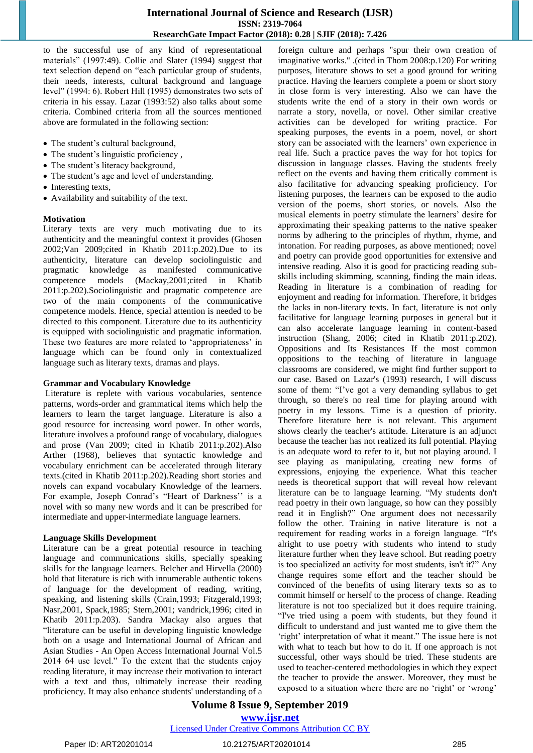# **International Journal of Science and Research (IJSR) ISSN: 2319-7064 ResearchGate Impact Factor (2018): 0.28 | SJIF (2018): 7.426**

to the successful use of any kind of representational materials" (1997:49). Collie and Slater (1994) suggest that text selection depend on "each particular group of students, their needs, interests, cultural background and language level" (1994: 6). Robert Hill (1995) demonstrates two sets of criteria in his essay. Lazar (1993:52) also talks about some criteria. Combined criteria from all the sources mentioned above are formulated in the following section:

- The student's cultural background,
- The student's linguistic proficiency,
- The student's literacy background,
- The student's age and level of understanding.
- Interesting texts,
- Availability and suitability of the text.

#### **Motivation**

Literary texts are very much motivating due to its authenticity and the meaningful context it provides (Ghosen 2002;Van 2009;cited in Khatib 2011:p.202).Due to its authenticity, literature can develop sociolinguistic and pragmatic knowledge as manifested communicative competence models (Mackay,2001;cited in Khatib 2011:p.202).Sociolinguistic and pragmatic competence are two of the main components of the communicative competence models. Hence, special attention is needed to be directed to this component. Literature due to its authenticity is equipped with sociolinguistic and pragmatic information. These two features are more related to 'appropriateness' in language which can be found only in contextualized language such as literary texts, dramas and plays.

#### **Grammar and Vocabulary Knowledge**

Literature is replete with various vocabularies, sentence patterns, words-order and grammatical items which help the learners to learn the target language. Literature is also a good resource for increasing word power. In other words, literature involves a profound range of vocabulary, dialogues and prose (Van 2009; cited in Khatib 2011:p.202).Also Arther (1968), believes that syntactic knowledge and vocabulary enrichment can be accelerated through literary texts.(cited in Khatib 2011:p.202).Reading short stories and novels can expand vocabulary Knowledge of the learners. For example, Joseph Conrad's "Heart of Darkness" is a novel with so many new words and it can be prescribed for intermediate and upper-intermediate language learners.

#### **Language Skills Development**

Literature can be a great potential resource in teaching language and communications skills, specially speaking skills for the language learners. Belcher and Hirvella (2000) hold that literature is rich with innumerable authentic tokens of language for the development of reading, writing, speaking, and listening skills (Crain,1993; Fitzgerald,1993; Nasr,2001, Spack,1985; Stern,2001; vandrick,1996; cited in Khatib 2011:p.203). Sandra Mackay also argues that "literature can be useful in developing linguistic knowledge both on a usage and International Journal of African and Asian Studies - An Open Access International Journal Vol.5 2014 64 use level." To the extent that the students enjoy reading literature, it may increase their motivation to interact with a text and thus, ultimately increase their reading proficiency. It may also enhance students' understanding of a foreign culture and perhaps "spur their own creation of imaginative works." .(cited in Thom 2008:p.120) For writing purposes, literature shows to set a good ground for writing practice. Having the learners complete a poem or short story in close form is very interesting. Also we can have the students write the end of a story in their own words or narrate a story, novella, or novel. Other similar creative activities can be developed for writing practice. For speaking purposes, the events in a poem, novel, or short story can be associated with the learners' own experience in real life. Such a practice paves the way for hot topics for discussion in language classes. Having the students freely reflect on the events and having them critically comment is also facilitative for advancing speaking proficiency. For listening purposes, the learners can be exposed to the audio version of the poems, short stories, or novels. Also the musical elements in poetry stimulate the learners' desire for approximating their speaking patterns to the native speaker norms by adhering to the principles of rhythm, rhyme, and intonation. For reading purposes, as above mentioned; novel and poetry can provide good opportunities for extensive and intensive reading. Also it is good for practicing reading subskills including skimming, scanning, finding the main ideas. Reading in literature is a combination of reading for enjoyment and reading for information. Therefore, it bridges the lacks in non-literary texts. In fact, literature is not only facilitative for language learning purposes in general but it can also accelerate language learning in content-based instruction (Shang, 2006; cited in Khatib 2011:p.202). Oppositions and Its Resistances If the most common oppositions to the teaching of literature in language classrooms are considered, we might find further support to our case. Based on Lazar's (1993) research, I will discuss some of them: "I've got a very demanding syllabus to get through, so there's no real time for playing around with poetry in my lessons. Time is a question of priority. Therefore literature here is not relevant. This argument shows clearly the teacher's attitude. Literature is an adjunct because the teacher has not realized its full potential. Playing is an adequate word to refer to it, but not playing around. I see playing as manipulating, creating new forms of expressions, enjoying the experience. What this teacher needs is theoretical support that will reveal how relevant literature can be to language learning. "My students don't read poetry in their own language, so how can they possibly read it in English?" One argument does not necessarily follow the other. Training in native literature is not a requirement for reading works in a foreign language. "It's alright to use poetry with students who intend to study literature further when they leave school. But reading poetry is too specialized an activity for most students, isn't it?" Any change requires some effort and the teacher should be convinced of the benefits of using literary texts so as to commit himself or herself to the process of change. Reading literature is not too specialized but it does require training. "I've tried using a poem with students, but they found it difficult to understand and just wanted me to give them the 'right' interpretation of what it meant." The issue here is not with what to teach but how to do it. If one approach is not successful, other ways should be tried. These students are used to teacher-centered methodologies in which they expect the teacher to provide the answer. Moreover, they must be exposed to a situation where there are no 'right' or 'wrong'

**Volume 8 Issue 9, September 2019**

**www.ijsr.net**